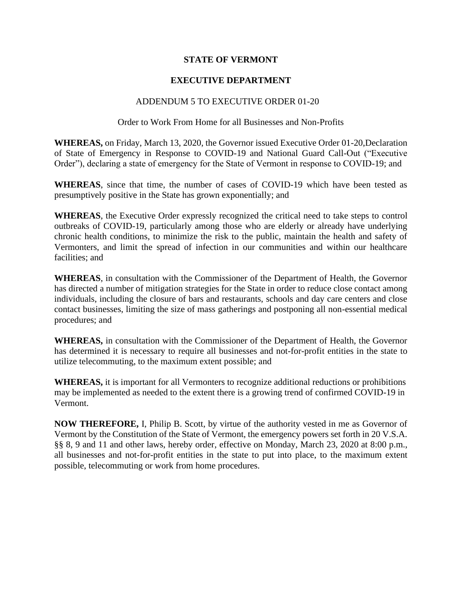## **STATE OF VERMONT**

## **EXECUTIVE DEPARTMENT**

## ADDENDUM 5 TO EXECUTIVE ORDER 01-20

## Order to Work From Home for all Businesses and Non-Profits

**WHEREAS,** on Friday, March 13, 2020, the Governor issued Executive Order 01-20,Declaration of State of Emergency in Response to COVID-19 and National Guard Call-Out ("Executive Order"), declaring a state of emergency for the State of Vermont in response to COVID-19; and

**WHEREAS**, since that time, the number of cases of COVID-19 which have been tested as presumptively positive in the State has grown exponentially; and

**WHEREAS**, the Executive Order expressly recognized the critical need to take steps to control outbreaks of COVID-19, particularly among those who are elderly or already have underlying chronic health conditions, to minimize the risk to the public, maintain the health and safety of Vermonters, and limit the spread of infection in our communities and within our healthcare facilities; and

**WHEREAS**, in consultation with the Commissioner of the Department of Health, the Governor has directed a number of mitigation strategies for the State in order to reduce close contact among individuals, including the closure of bars and restaurants, schools and day care centers and close contact businesses, limiting the size of mass gatherings and postponing all non-essential medical procedures; and

**WHEREAS,** in consultation with the Commissioner of the Department of Health, the Governor has determined it is necessary to require all businesses and not-for-profit entities in the state to utilize telecommuting, to the maximum extent possible; and

**WHEREAS,** it is important for all Vermonters to recognize additional reductions or prohibitions may be implemented as needed to the extent there is a growing trend of confirmed COVID-19 in Vermont.

**NOW THEREFORE,** I, Philip B. Scott, by virtue of the authority vested in me as Governor of Vermont by the Constitution of the State of Vermont, the emergency powers set forth in 20 V.S.A. §§ 8, 9 and 11 and other laws, hereby order, effective on Monday, March 23, 2020 at 8:00 p.m., all businesses and not-for-profit entities in the state to put into place, to the maximum extent possible, telecommuting or work from home procedures.